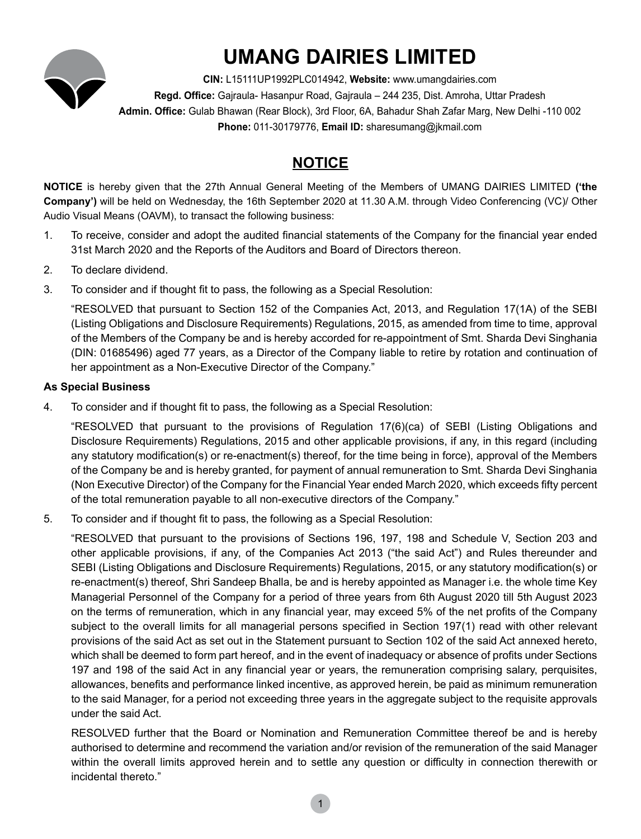

# **UMANG DAIRIES LIMITED**

**CIN:** L15111UP1992PLC014942, **Website:** www.umangdairies.com **Regd. Office:** Gajraula- Hasanpur Road, Gajraula – 244 235, Dist. Amroha, Uttar Pradesh **Admin. Office:** Gulab Bhawan (Rear Block), 3rd Floor, 6A, Bahadur Shah Zafar Marg, New Delhi -110 002 **Phone:** 011-30179776, **Email ID:** sharesumang@jkmail.com

# **NOTICE**

**NOTICE** is hereby given that the 27th Annual General Meeting of the Members of UMANG DAIRIES LIMITED **('the Company')** will be held on Wednesday, the 16th September 2020 at 11.30 A.M. through Video Conferencing (VC)/ Other Audio Visual Means (OAVM), to transact the following business:

- 1. To receive, consider and adopt the audited financial statements of the Company for the financial year ended 31st March 2020 and the Reports of the Auditors and Board of Directors thereon.
- 2. To declare dividend.
- 3. To consider and if thought fit to pass, the following as a Special Resolution:

"RESOLVED that pursuant to Section 152 of the Companies Act, 2013, and Regulation 17(1A) of the SEBI (Listing Obligations and Disclosure Requirements) Regulations, 2015, as amended from time to time, approval of the Members of the Company be and is hereby accorded for re-appointment of Smt. Sharda Devi Singhania (DIN: 01685496) aged 77 years, as a Director of the Company liable to retire by rotation and continuation of her appointment as a Non-Executive Director of the Company."

# **As Special Business**

4. To consider and if thought fit to pass, the following as a Special Resolution:

"RESOLVED that pursuant to the provisions of Regulation 17(6)(ca) of SEBI (Listing Obligations and Disclosure Requirements) Regulations, 2015 and other applicable provisions, if any, in this regard (including any statutory modification(s) or re-enactment(s) thereof, for the time being in force), approval of the Members of the Company be and is hereby granted, for payment of annual remuneration to Smt. Sharda Devi Singhania (Non Executive Director) of the Company for the Financial Year ended March 2020, which exceeds fifty percent of the total remuneration payable to all non-executive directors of the Company."

5. To consider and if thought fit to pass, the following as a Special Resolution:

"RESOLVED that pursuant to the provisions of Sections 196, 197, 198 and Schedule V, Section 203 and other applicable provisions, if any, of the Companies Act 2013 ("the said Act") and Rules thereunder and SEBI (Listing Obligations and Disclosure Requirements) Regulations, 2015, or any statutory modification(s) or re-enactment(s) thereof, Shri Sandeep Bhalla, be and is hereby appointed as Manager i.e. the whole time Key Managerial Personnel of the Company for a period of three years from 6th August 2020 till 5th August 2023 on the terms of remuneration, which in any financial year, may exceed 5% of the net profits of the Company subject to the overall limits for all managerial persons specified in Section 197(1) read with other relevant provisions of the said Act as set out in the Statement pursuant to Section 102 of the said Act annexed hereto, which shall be deemed to form part hereof, and in the event of inadequacy or absence of profits under Sections 197 and 198 of the said Act in any financial year or years, the remuneration comprising salary, perquisites, allowances, benefits and performance linked incentive, as approved herein, be paid as minimum remuneration to the said Manager, for a period not exceeding three years in the aggregate subject to the requisite approvals under the said Act.

RESOLVED further that the Board or Nomination and Remuneration Committee thereof be and is hereby authorised to determine and recommend the variation and/or revision of the remuneration of the said Manager within the overall limits approved herein and to settle any question or difficulty in connection therewith or incidental thereto."

1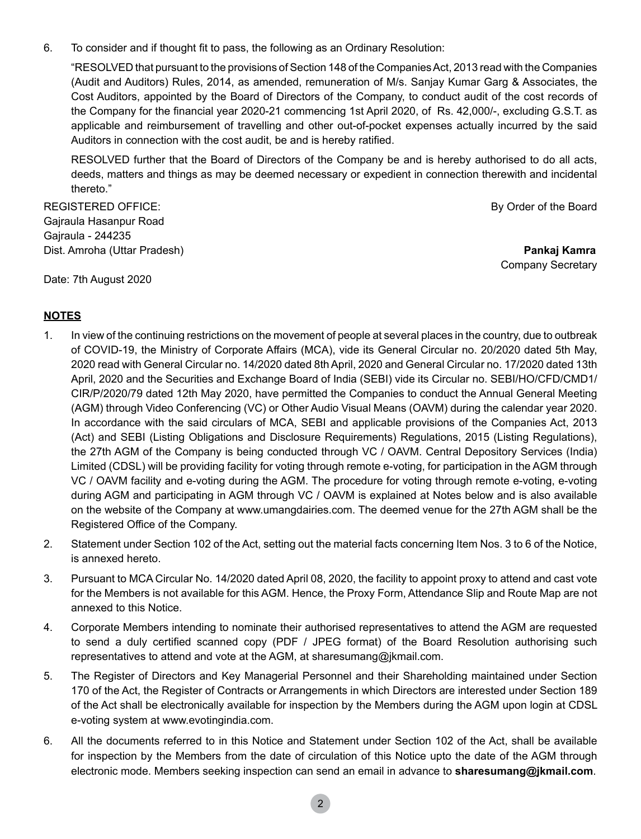6. To consider and if thought fit to pass, the following as an Ordinary Resolution:

"RESOLVED that pursuant to the provisions of Section 148 of the Companies Act, 2013 read with the Companies (Audit and Auditors) Rules, 2014, as amended, remuneration of M/s. Sanjay Kumar Garg & Associates, the Cost Auditors, appointed by the Board of Directors of the Company, to conduct audit of the cost records of the Company for the financial year 2020-21 commencing 1st April 2020, of Rs. 42,000/-, excluding G.S.T. as applicable and reimbursement of travelling and other out-of-pocket expenses actually incurred by the said Auditors in connection with the cost audit, be and is hereby ratified.

RESOLVED further that the Board of Directors of the Company be and is hereby authorised to do all acts, deeds, matters and things as may be deemed necessary or expedient in connection therewith and incidental thereto."

REGISTERED OFFICE: By Order of the Board Gajraula Hasanpur Road Gajraula - 244235 Dist. Amroha (Uttar Pradesh) **Pankaj Kamra**

Company Secretary

Date: 7th August 2020

# **NOTES**

- 1. In view of the continuing restrictions on the movement of people at several places in the country, due to outbreak of COVID-19, the Ministry of Corporate Affairs (MCA), vide its General Circular no. 20/2020 dated 5th May, 2020 read with General Circular no. 14/2020 dated 8th April, 2020 and General Circular no. 17/2020 dated 13th April, 2020 and the Securities and Exchange Board of India (SEBI) vide its Circular no. SEBI/HO/CFD/CMD1/ CIR/P/2020/79 dated 12th May 2020, have permitted the Companies to conduct the Annual General Meeting (AGM) through Video Conferencing (VC) or Other Audio Visual Means (OAVM) during the calendar year 2020. In accordance with the said circulars of MCA, SEBI and applicable provisions of the Companies Act, 2013 (Act) and SEBI (Listing Obligations and Disclosure Requirements) Regulations, 2015 (Listing Regulations), the 27th AGM of the Company is being conducted through VC / OAVM. Central Depository Services (India) Limited (CDSL) will be providing facility for voting through remote e-voting, for participation in the AGM through VC / OAVM facility and e-voting during the AGM. The procedure for voting through remote e-voting, e-voting during AGM and participating in AGM through VC / OAVM is explained at Notes below and is also available on the website of the Company at www.umangdairies.com. The deemed venue for the 27th AGM shall be the Registered Office of the Company.
- 2. Statement under Section 102 of the Act, setting out the material facts concerning Item Nos. 3 to 6 of the Notice, is annexed hereto.
- 3. Pursuant to MCA Circular No. 14/2020 dated April 08, 2020, the facility to appoint proxy to attend and cast vote for the Members is not available for this AGM. Hence, the Proxy Form, Attendance Slip and Route Map are not annexed to this Notice.
- 4. Corporate Members intending to nominate their authorised representatives to attend the AGM are requested to send a duly certified scanned copy (PDF / JPEG format) of the Board Resolution authorising such representatives to attend and vote at the AGM, at sharesumang@jkmail.com.
- 5. The Register of Directors and Key Managerial Personnel and their Shareholding maintained under Section 170 of the Act, the Register of Contracts or Arrangements in which Directors are interested under Section 189 of the Act shall be electronically available for inspection by the Members during the AGM upon login at CDSL e-voting system at www.evotingindia.com.
- 6. All the documents referred to in this Notice and Statement under Section 102 of the Act, shall be available for inspection by the Members from the date of circulation of this Notice upto the date of the AGM through electronic mode. Members seeking inspection can send an email in advance to **sharesumang@jkmail.com**.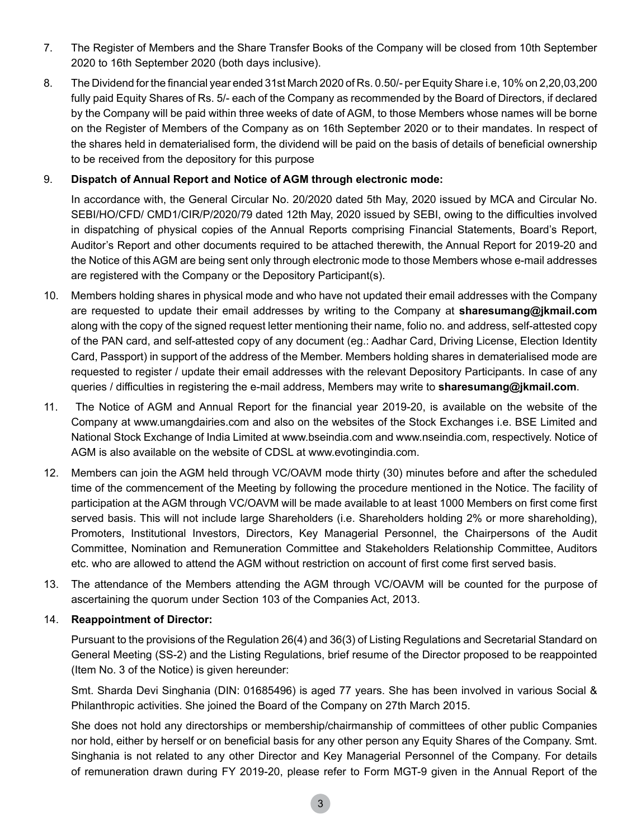- 7. The Register of Members and the Share Transfer Books of the Company will be closed from 10th September 2020 to 16th September 2020 (both days inclusive).
- 8. The Dividend for the financial year ended 31st March 2020 of Rs. 0.50/- per Equity Share i.e, 10% on 2,20,03,200 fully paid Equity Shares of Rs. 5/- each of the Company as recommended by the Board of Directors, if declared by the Company will be paid within three weeks of date of AGM, to those Members whose names will be borne on the Register of Members of the Company as on 16th September 2020 or to their mandates. In respect of the shares held in dematerialised form, the dividend will be paid on the basis of details of beneficial ownership to be received from the depository for this purpose

#### 9. **Dispatch of Annual Report and Notice of AGM through electronic mode:**

In accordance with, the General Circular No. 20/2020 dated 5th May, 2020 issued by MCA and Circular No. SEBI/HO/CFD/ CMD1/CIR/P/2020/79 dated 12th May, 2020 issued by SEBI, owing to the difficulties involved in dispatching of physical copies of the Annual Reports comprising Financial Statements, Board's Report, Auditor's Report and other documents required to be attached therewith, the Annual Report for 2019-20 and the Notice of this AGM are being sent only through electronic mode to those Members whose e-mail addresses are registered with the Company or the Depository Participant(s).

- 10. Members holding shares in physical mode and who have not updated their email addresses with the Company are requested to update their email addresses by writing to the Company at **sharesumang@jkmail.com** along with the copy of the signed request letter mentioning their name, folio no. and address, self-attested copy of the PAN card, and self-attested copy of any document (eg.: Aadhar Card, Driving License, Election Identity Card, Passport) in support of the address of the Member. Members holding shares in dematerialised mode are requested to register / update their email addresses with the relevant Depository Participants. In case of any queries / difficulties in registering the e-mail address, Members may write to **sharesumang@jkmail.com**.
- 11. The Notice of AGM and Annual Report for the financial year 2019-20, is available on the website of the Company at [www.umangdairies.com](http://www.umangdairies.com) and also on the websites of the Stock Exchanges i.e. BSE Limited and National Stock Exchange of India Limited at [www.bseindia.com](http://www.bseindia.com) and [www.nseindia.com](http://www.nseindia.com), respectively. Notice of AGM is also available on the website of CDSL at [www.evotingindia.com](http://www.evotingindia.com).
- 12. Members can join the AGM held through VC/OAVM mode thirty (30) minutes before and after the scheduled time of the commencement of the Meeting by following the procedure mentioned in the Notice. The facility of participation at the AGM through VC/OAVM will be made available to at least 1000 Members on first come first served basis. This will not include large Shareholders (i.e. Shareholders holding 2% or more shareholding), Promoters, Institutional Investors, Directors, Key Managerial Personnel, the Chairpersons of the Audit Committee, Nomination and Remuneration Committee and Stakeholders Relationship Committee, Auditors etc. who are allowed to attend the AGM without restriction on account of first come first served basis.
- 13. The attendance of the Members attending the AGM through VC/OAVM will be counted for the purpose of ascertaining the quorum under Section 103 of the Companies Act, 2013.

#### 14. **Reappointment of Director:**

Pursuant to the provisions of the Regulation 26(4) and 36(3) of Listing Regulations and Secretarial Standard on General Meeting (SS-2) and the Listing Regulations, brief resume of the Director proposed to be reappointed (Item No. 3 of the Notice) is given hereunder:

Smt. Sharda Devi Singhania (DIN: 01685496) is aged 77 years. She has been involved in various Social & Philanthropic activities. She joined the Board of the Company on 27th March 2015.

She does not hold any directorships or membership/chairmanship of committees of other public Companies nor hold, either by herself or on beneficial basis for any other person any Equity Shares of the Company. Smt. Singhania is not related to any other Director and Key Managerial Personnel of the Company. For details of remuneration drawn during FY 2019-20, please refer to Form MGT-9 given in the Annual Report of the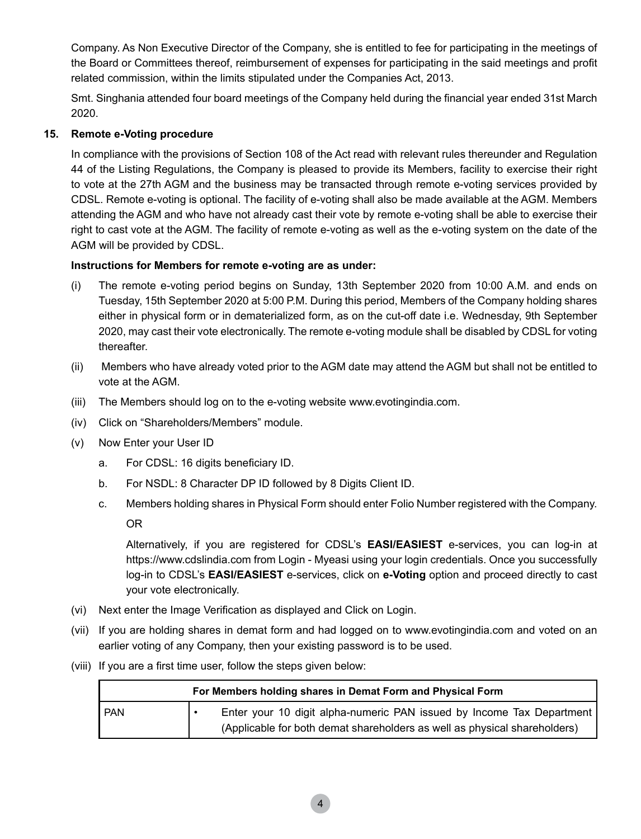Company. As Non Executive Director of the Company, she is entitled to fee for participating in the meetings of the Board or Committees thereof, reimbursement of expenses for participating in the said meetings and profit related commission, within the limits stipulated under the Companies Act, 2013.

 Smt. Singhania attended four board meetings of the Company held during the financial year ended 31st March 2020.

## **15. Remote e-Voting procedure**

In compliance with the provisions of Section 108 of the Act read with relevant rules thereunder and Regulation 44 of the Listing Regulations, the Company is pleased to provide its Members, facility to exercise their right to vote at the 27th AGM and the business may be transacted through remote e-voting services provided by CDSL. Remote e-voting is optional. The facility of e-voting shall also be made available at the AGM. Members attending the AGM and who have not already cast their vote by remote e-voting shall be able to exercise their right to cast vote at the AGM. The facility of remote e-voting as well as the e-voting system on the date of the AGM will be provided by CDSL.

#### **Instructions for Members for remote e-voting are as under:**

- (i) The remote e-voting period begins on Sunday, 13th September 2020 from 10:00 A.M. and ends on Tuesday, 15th September 2020 at 5:00 P.M. During this period, Members of the Company holding shares either in physical form or in dematerialized form, as on the cut-off date i.e. Wednesday, 9th September 2020, may cast their vote electronically. The remote e-voting module shall be disabled by CDSL for voting thereafter.
- (ii) Members who have already voted prior to the AGM date may attend the AGM but shall not be entitled to vote at the AGM.
- (iii) The Members should log on to the e-voting website www.evotingindia.com.
- (iv) Click on "Shareholders/Members" module.
- (v) Now Enter your User ID
	- a. For CDSL: 16 digits beneficiary ID.
	- b. For NSDL: 8 Character DP ID followed by 8 Digits Client ID.
	- c. Members holding shares in Physical Form should enter Folio Number registered with the Company.

OR

Alternatively, if you are registered for CDSL's **EASI/EASIEST** e-services, you can log-in at https:/[/www.cdslindia.com](http://www.cdslindia.com) from Login - Myeasi using your login credentials. Once you successfully log-in to CDSL's **EASI/EASIEST** e-services, click on **e-Voting** option and proceed directly to cast your vote electronically.

- (vi) Next enter the Image Verification as displayed and Click on Login.
- (vii) If you are holding shares in demat form and had logged on to [www.evotingindia.com](http://www.evotingindia.com) and voted on an earlier voting of any Company, then your existing password is to be used.
- (viii) If you are a first time user, follow the steps given below:

| For Members holding shares in Demat Form and Physical Form |  |                                                                           |  |  |
|------------------------------------------------------------|--|---------------------------------------------------------------------------|--|--|
| <b>PAN</b>                                                 |  | Enter your 10 digit alpha-numeric PAN issued by Income Tax Department     |  |  |
|                                                            |  | (Applicable for both demat shareholders as well as physical shareholders) |  |  |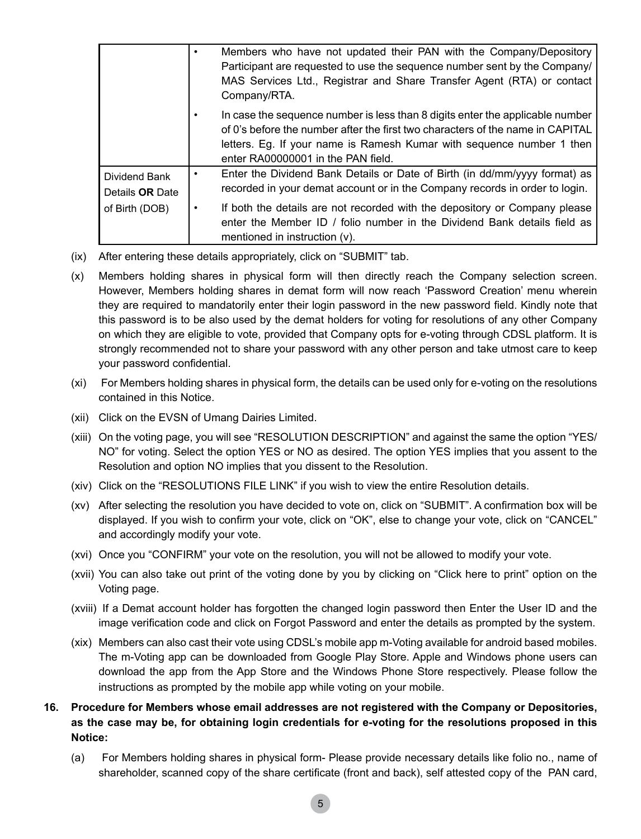|                                                    | Members who have not updated their PAN with the Company/Depository<br>Participant are requested to use the sequence number sent by the Company/<br>MAS Services Ltd., Registrar and Share Transfer Agent (RTA) or contact<br>Company/RTA.                                                                                                               |
|----------------------------------------------------|---------------------------------------------------------------------------------------------------------------------------------------------------------------------------------------------------------------------------------------------------------------------------------------------------------------------------------------------------------|
|                                                    | In case the sequence number is less than 8 digits enter the applicable number<br>of 0's before the number after the first two characters of the name in CAPITAL<br>letters. Eq. If your name is Ramesh Kumar with sequence number 1 then<br>enter RA00000001 in the PAN field.                                                                          |
| Dividend Bank<br>Details OR Date<br>of Birth (DOB) | Enter the Dividend Bank Details or Date of Birth (in dd/mm/yyyy format) as<br>recorded in your demat account or in the Company records in order to login.<br>If both the details are not recorded with the depository or Company please<br>enter the Member ID / folio number in the Dividend Bank details field as<br>mentioned in instruction $(v)$ . |

- (ix) After entering these details appropriately, click on "SUBMIT" tab.
- (x) Members holding shares in physical form will then directly reach the Company selection screen. However, Members holding shares in demat form will now reach 'Password Creation' menu wherein they are required to mandatorily enter their login password in the new password field. Kindly note that this password is to be also used by the demat holders for voting for resolutions of any other Company on which they are eligible to vote, provided that Company opts for e-voting through CDSL platform. It is strongly recommended not to share your password with any other person and take utmost care to keep your password confidential.
- (xi) For Members holding shares in physical form, the details can be used only for e-voting on the resolutions contained in this Notice.
- (xii) Click on the EVSN of Umang Dairies Limited.
- (xiii) On the voting page, you will see "RESOLUTION DESCRIPTION" and against the same the option "YES/ NO" for voting. Select the option YES or NO as desired. The option YES implies that you assent to the Resolution and option NO implies that you dissent to the Resolution.
- (xiv) Click on the "RESOLUTIONS FILE LINK" if you wish to view the entire Resolution details.
- (xv) After selecting the resolution you have decided to vote on, click on "SUBMIT". A confirmation box will be displayed. If you wish to confirm your vote, click on "OK", else to change your vote, click on "CANCEL" and accordingly modify your vote.
- (xvi) Once you "CONFIRM" your vote on the resolution, you will not be allowed to modify your vote.
- (xvii) You can also take out print of the voting done by you by clicking on "Click here to print" option on the Voting page.
- (xviii) If a Demat account holder has forgotten the changed login password then Enter the User ID and the image verification code and click on Forgot Password and enter the details as prompted by the system.
- (xix) Members can also cast their vote using CDSL's mobile app m-Voting available for android based mobiles. The m-Voting app can be downloaded from Google Play Store. Apple and Windows phone users can download the app from the App Store and the Windows Phone Store respectively. Please follow the instructions as prompted by the mobile app while voting on your mobile.
- **16. Procedure for Members whose email addresses are not registered with the Company or Depositories, as the case may be, for obtaining login credentials for e-voting for the resolutions proposed in this Notice:** 
	- (a) For Members holding shares in physical form- Please provide necessary details like folio no., name of shareholder, scanned copy of the share certificate (front and back), self attested copy of the PAN card,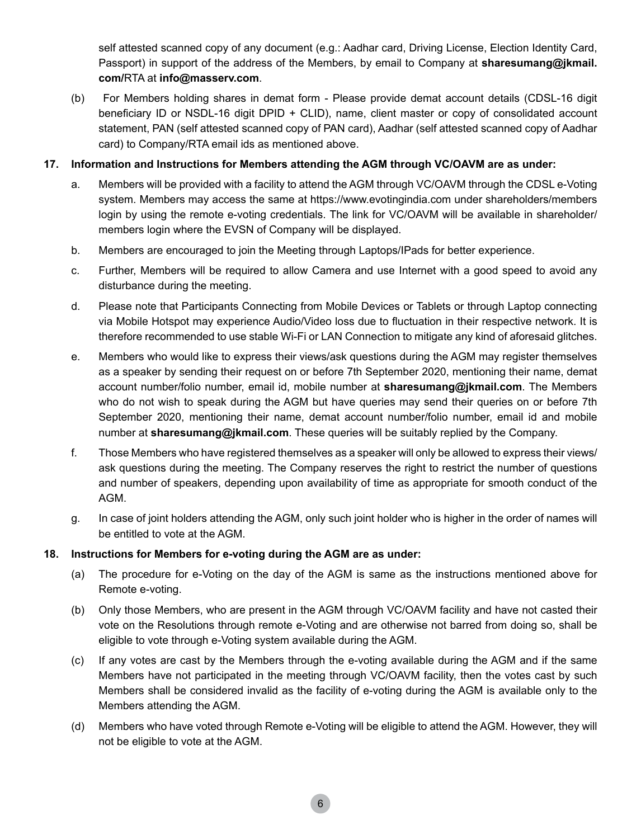self attested scanned copy of any document (e.g.: Aadhar card, Driving License, Election Identity Card, Passport) in support of the address of the Members, by email to Company at **sharesumang@jkmail. com/**RTA at **info@masserv.com**.

(b) For Members holding shares in demat form - Please provide demat account details (CDSL-16 digit beneficiary ID or NSDL-16 digit DPID + CLID), name, client master or copy of consolidated account statement, PAN (self attested scanned copy of PAN card), Aadhar (self attested scanned copy of Aadhar card) to Company/RTA email ids as mentioned above.

#### **17. Information and Instructions for Members attending the AGM through VC/OAVM are as under:**

- a. Members will be provided with a facility to attend the AGM through VC/OAVM through the CDSL e-Voting system. Members may access the same at https://www.evotingindia.com under shareholders/members login by using the remote e-voting credentials. The link for VC/OAVM will be available in shareholder/ members login where the EVSN of Company will be displayed.
- b. Members are encouraged to join the Meeting through Laptops/IPads for better experience.
- c. Further, Members will be required to allow Camera and use Internet with a good speed to avoid any disturbance during the meeting.
- d. Please note that Participants Connecting from Mobile Devices or Tablets or through Laptop connecting via Mobile Hotspot may experience Audio/Video loss due to fluctuation in their respective network. It is therefore recommended to use stable Wi-Fi or LAN Connection to mitigate any kind of aforesaid glitches.
- e. Members who would like to express their views/ask questions during the AGM may register themselves as a speaker by sending their request on or before 7th September 2020, mentioning their name, demat account number/folio number, email id, mobile number at **sharesumang@jkmail.com**. The Members who do not wish to speak during the AGM but have queries may send their queries on or before 7th September 2020, mentioning their name, demat account number/folio number, email id and mobile number at **sharesumang@jkmail.com**. These queries will be suitably replied by the Company.
- f. Those Members who have registered themselves as a speaker will only be allowed to express their views/ ask questions during the meeting. The Company reserves the right to restrict the number of questions and number of speakers, depending upon availability of time as appropriate for smooth conduct of the AGM.
- g. In case of joint holders attending the AGM, only such joint holder who is higher in the order of names will be entitled to vote at the AGM.

#### **18. Instructions for Members for e-voting during the AGM are as under:**

- (a) The procedure for e-Voting on the day of the AGM is same as the instructions mentioned above for Remote e-voting.
- (b) Only those Members, who are present in the AGM through VC/OAVM facility and have not casted their vote on the Resolutions through remote e-Voting and are otherwise not barred from doing so, shall be eligible to vote through e-Voting system available during the AGM.
- (c) If any votes are cast by the Members through the e-voting available during the AGM and if the same Members have not participated in the meeting through VC/OAVM facility, then the votes cast by such Members shall be considered invalid as the facility of e-voting during the AGM is available only to the Members attending the AGM.
- (d) Members who have voted through Remote e-Voting will be eligible to attend the AGM. However, they will not be eligible to vote at the AGM.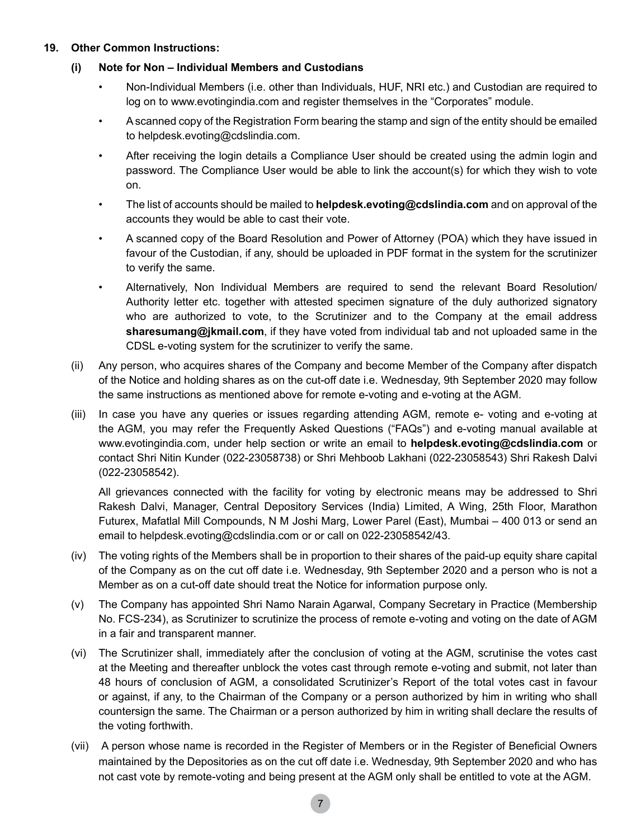#### **19. Other Common Instructions:**

### **(i) Note for Non – Individual Members and Custodians**

- Non-Individual Members (i.e. other than Individuals, HUF, NRI etc.) and Custodian are required to log on to www.evotingindia.com and register themselves in the "Corporates" module.
- • Ascanned copy of the Registration Form bearing the stamp and sign of the entity should be emailed to helpdesk.evoting@cdslindia.com.
- • After receiving the login details a Compliance User should be created using the admin login and password. The Compliance User would be able to link the account(s) for which they wish to vote on.
- • The list of accounts should be mailed to **helpdesk.evoting@cdslindia.com** and on approval of the accounts they would be able to cast their vote.
- • A scanned copy of the Board Resolution and Power of Attorney (POA) which they have issued in favour of the Custodian, if any, should be uploaded in PDF format in the system for the scrutinizer to verify the same.
- • Alternatively, Non Individual Members are required to send the relevant Board Resolution/ Authority letter etc. together with attested specimen signature of the duly authorized signatory who are authorized to vote, to the Scrutinizer and to the Company at the email address **[sharesumang@jkmail.com](http://sharesumang@jkmail.com)**, if they have voted from individual tab and not uploaded same in the CDSL e-voting system for the scrutinizer to verify the same.
- (ii) Any person, who acquires shares of the Company and become Member of the Company after dispatch of the Notice and holding shares as on the cut-off date i.e. Wednesday, 9th September 2020 may follow the same instructions as mentioned above for remote e-voting and e-voting at the AGM.
- (iii) In case you have any queries or issues regarding attending AGM, remote e- voting and e-voting at the AGM, you may refer the Frequently Asked Questions ("FAQs") and e-voting manual available at [www.evotingindia.com](http://www.evotingindia.com), under help section or write an email to **helpdesk.evoting@cdslindia.com** or contact Shri Nitin Kunder (022-23058738) or Shri Mehboob Lakhani (022-23058543) Shri Rakesh Dalvi (022-23058542).

All grievances connected with the facility for voting by electronic means may be addressed to Shri Rakesh Dalvi, Manager, Central Depository Services (India) Limited, A Wing, 25th Floor, Marathon Futurex, Mafatlal Mill Compounds, N M Joshi Marg, Lower Parel (East), Mumbai – 400 013 or send an email to helpdesk.evoting@cdslindia.com or or call on 022-23058542/43.

- (iv) The voting rights of the Members shall be in proportion to their shares of the paid-up equity share capital of the Company as on the cut off date i.e. Wednesday, 9th September 2020 and a person who is not a Member as on a cut-off date should treat the Notice for information purpose only.
- (v) The Company has appointed Shri Namo Narain Agarwal, Company Secretary in Practice (Membership No. FCS-234), as Scrutinizer to scrutinize the process of remote e-voting and voting on the date of AGM in a fair and transparent manner.
- (vi) The Scrutinizer shall, immediately after the conclusion of voting at the AGM, scrutinise the votes cast at the Meeting and thereafter unblock the votes cast through remote e-voting and submit, not later than 48 hours of conclusion of AGM, a consolidated Scrutinizer's Report of the total votes cast in favour or against, if any, to the Chairman of the Company or a person authorized by him in writing who shall countersign the same. The Chairman or a person authorized by him in writing shall declare the results of the voting forthwith.
- (vii) A person whose name is recorded in the Register of Members or in the Register of Beneficial Owners maintained by the Depositories as on the cut off date i.e. Wednesday, 9th September 2020 and who has not cast vote by remote-voting and being present at the AGM only shall be entitled to vote at the AGM.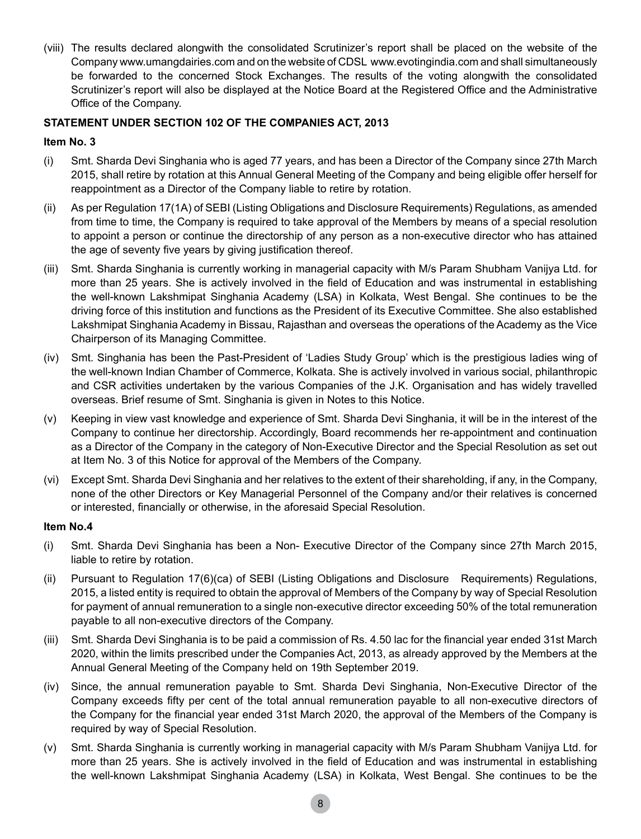(viii) The results declared alongwith the consolidated Scrutinizer's report shall be placed on the website of the Company www.umangdairies.com and on the website of CDSL www.evotingindia.com and shall simultaneously be forwarded to the concerned Stock Exchanges. The results of the voting alongwith the consolidated Scrutinizer's report will also be displayed at the Notice Board at the Registered Office and the Administrative Office of the Company.

## **STATEMENT UNDER SECTION 102 OF THE COMPANIES ACT, 2013**

#### **Item No. 3**

- (i) Smt. Sharda Devi Singhania who is aged 77 years, and has been a Director of the Company since 27th March 2015, shall retire by rotation at this Annual General Meeting of the Company and being eligible offer herself for reappointment as a Director of the Company liable to retire by rotation.
- (ii) As per Regulation 17(1A) of SEBI (Listing Obligations and Disclosure Requirements) Regulations, as amended from time to time, the Company is required to take approval of the Members by means of a special resolution to appoint a person or continue the directorship of any person as a non-executive director who has attained the age of seventy five years by giving justification thereof.
- (iii) Smt. Sharda Singhania is currently working in managerial capacity with M/s Param Shubham Vanijya Ltd. for more than 25 years. She is actively involved in the field of Education and was instrumental in establishing the well-known Lakshmipat Singhania Academy (LSA) in Kolkata, West Bengal. She continues to be the driving force of this institution and functions as the President of its Executive Committee. She also established Lakshmipat Singhania Academy in Bissau, Rajasthan and overseas the operations of the Academy as the Vice Chairperson of its Managing Committee.
- (iv) Smt. Singhania has been the Past-President of 'Ladies Study Group' which is the prestigious ladies wing of the well-known Indian Chamber of Commerce, Kolkata. She is actively involved in various social, philanthropic and CSR activities undertaken by the various Companies of the J.K. Organisation and has widely travelled overseas. Brief resume of Smt. Singhania is given in Notes to this Notice.
- (v) Keeping in view vast knowledge and experience of Smt. Sharda Devi Singhania, it will be in the interest of the Company to continue her directorship. Accordingly, Board recommends her re-appointment and continuation as a Director of the Company in the category of Non-Executive Director and the Special Resolution as set out at Item No. 3 of this Notice for approval of the Members of the Company.
- (vi) Except Smt. Sharda Devi Singhania and her relatives to the extent of their shareholding, if any, in the Company, none of the other Directors or Key Managerial Personnel of the Company and/or their relatives is concerned or interested, financially or otherwise, in the aforesaid Special Resolution.

#### **Item No.4**

- (i) Smt. Sharda Devi Singhania has been a Non- Executive Director of the Company since 27th March 2015, liable to retire by rotation.
- (ii) Pursuant to Regulation 17(6)(ca) of SEBI (Listing Obligations and Disclosure Requirements) Regulations, 2015, a listed entity is required to obtain the approval of Members of the Company by way of Special Resolution for payment of annual remuneration to a single non-executive director exceeding 50% of the total remuneration payable to all non-executive directors of the Company.
- (iii) Smt. Sharda Devi Singhania is to be paid a commission of Rs. 4.50 lac for the financial year ended 31st March 2020, within the limits prescribed under the Companies Act, 2013, as already approved by the Members at the Annual General Meeting of the Company held on 19th September 2019.
- (iv) Since, the annual remuneration payable to Smt. Sharda Devi Singhania, Non-Executive Director of the Company exceeds fifty per cent of the total annual remuneration payable to all non-executive directors of the Company for the financial year ended 31st March 2020, the approval of the Members of the Company is required by way of Special Resolution.
- (v) Smt. Sharda Singhania is currently working in managerial capacity with M/s Param Shubham Vanijya Ltd. for more than 25 years. She is actively involved in the field of Education and was instrumental in establishing the well-known Lakshmipat Singhania Academy (LSA) in Kolkata, West Bengal. She continues to be the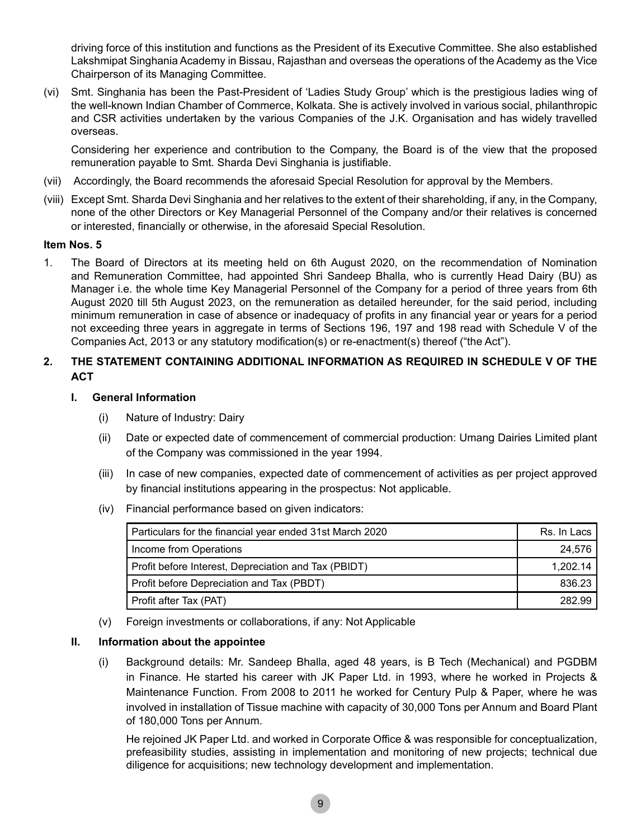driving force of this institution and functions as the President of its Executive Committee. She also established Lakshmipat Singhania Academy in Bissau, Rajasthan and overseas the operations of the Academy as the Vice Chairperson of its Managing Committee.

(vi) Smt. Singhania has been the Past-President of 'Ladies Study Group' which is the prestigious ladies wing of the well-known Indian Chamber of Commerce, Kolkata. She is actively involved in various social, philanthropic and CSR activities undertaken by the various Companies of the J.K. Organisation and has widely travelled overseas.

Considering her experience and contribution to the Company, the Board is of the view that the proposed remuneration payable to Smt. Sharda Devi Singhania is justifiable.

- (vii) Accordingly, the Board recommends the aforesaid Special Resolution for approval by the Members.
- (viii) Except Smt. Sharda Devi Singhania and her relatives to the extent of their shareholding, if any, in the Company, none of the other Directors or Key Managerial Personnel of the Company and/or their relatives is concerned or interested, financially or otherwise, in the aforesaid Special Resolution.

#### **Item Nos. 5**

1. The Board of Directors at its meeting held on 6th August 2020, on the recommendation of Nomination and Remuneration Committee, had appointed Shri Sandeep Bhalla, who is currently Head Dairy (BU) as Manager i.e. the whole time Key Managerial Personnel of the Company for a period of three years from 6th August 2020 till 5th August 2023, on the remuneration as detailed hereunder, for the said period, including minimum remuneration in case of absence or inadequacy of profits in any financial year or years for a period not exceeding three years in aggregate in terms of Sections 196, 197 and 198 read with Schedule V of the Companies Act, 2013 or any statutory modification(s) or re-enactment(s) thereof ("the Act").

# **2. THE STATEMENT CONTAINING ADDITIONAL INFORMATION AS REQUIRED IN SCHEDULE V OF THE ACT**

#### **I. General Information**

- (i) Nature of Industry: Dairy
- (ii) Date or expected date of commencement of commercial production: Umang Dairies Limited plant of the Company was commissioned in the year 1994.
- (iii) In case of new companies, expected date of commencement of activities as per project approved by financial institutions appearing in the prospectus: Not applicable.
- (iv) Financial performance based on given indicators:

| Particulars for the financial year ended 31st March 2020 | Rs. In Lacs |
|----------------------------------------------------------|-------------|
| Income from Operations                                   | 24.576      |
| Profit before Interest, Depreciation and Tax (PBIDT)     | 1.202.14    |
| Profit before Depreciation and Tax (PBDT)                | 836.23      |
| Profit after Tax (PAT)                                   | 282.99      |

(v) Foreign investments or collaborations, if any: Not Applicable

#### **II. Information about the appointee**

(i) Background details: Mr. Sandeep Bhalla, aged 48 years, is B Tech (Mechanical) and PGDBM in Finance. He started his career with JK Paper Ltd. in 1993, where he worked in Projects & Maintenance Function. From 2008 to 2011 he worked for Century Pulp & Paper, where he was involved in installation of Tissue machine with capacity of 30,000 Tons per Annum and Board Plant of 180,000 Tons per Annum.

 He rejoined JK Paper Ltd. and worked in Corporate Office & was responsible for conceptualization, prefeasibility studies, assisting in implementation and monitoring of new projects; technical due diligence for acquisitions; new technology development and implementation.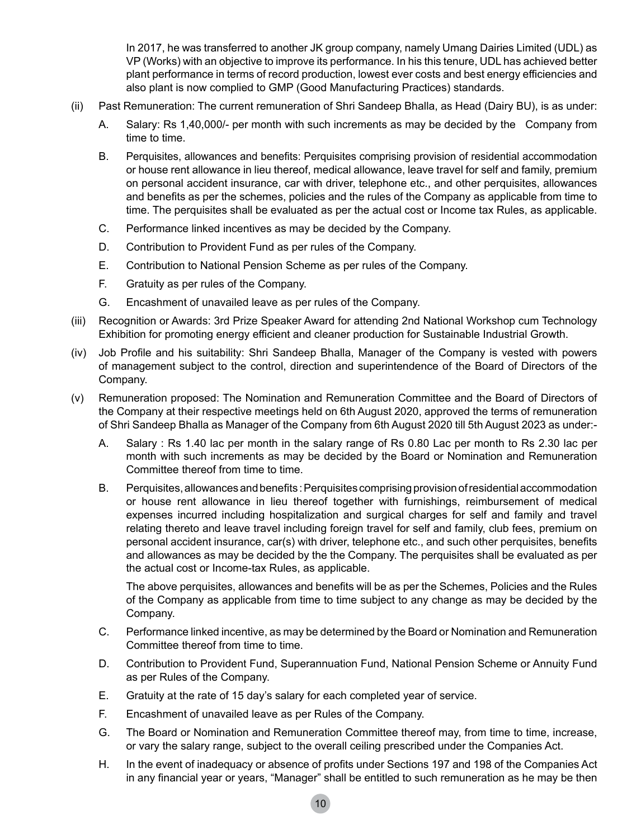In 2017, he was transferred to another JK group company, namely Umang Dairies Limited (UDL) as VP (Works) with an objective to improve its performance. In his this tenure, UDL has achieved better plant performance in terms of record production, lowest ever costs and best energy efficiencies and also plant is now complied to GMP (Good Manufacturing Practices) standards.

- (ii) Past Remuneration: The current remuneration of Shri Sandeep Bhalla, as Head (Dairy BU), is as under:
	- A. Salary: Rs 1,40,000/- per month with such increments as may be decided by the Company from time to time.
	- B. Perquisites, allowances and benefits: Perquisites comprising provision of residential accommodation or house rent allowance in lieu thereof, medical allowance, leave travel for self and family, premium on personal accident insurance, car with driver, telephone etc., and other perquisites, allowances and benefits as per the schemes, policies and the rules of the Company as applicable from time to time. The perquisites shall be evaluated as per the actual cost or Income tax Rules, as applicable.
	- C. Performance linked incentives as may be decided by the Company.
	- D. Contribution to Provident Fund as per rules of the Company.
	- E. Contribution to National Pension Scheme as per rules of the Company.
	- F. Gratuity as per rules of the Company.
	- G. Encashment of unavailed leave as per rules of the Company.
- (iii) Recognition or Awards: 3rd Prize Speaker Award for attending 2nd National Workshop cum Technology Exhibition for promoting energy efficient and cleaner production for Sustainable Industrial Growth.
- (iv) Job Profile and his suitability: Shri Sandeep Bhalla, Manager of the Company is vested with powers of management subject to the control, direction and superintendence of the Board of Directors of the Company.
- (v) Remuneration proposed: The Nomination and Remuneration Committee and the Board of Directors of the Company at their respective meetings held on 6th August 2020, approved the terms of remuneration of Shri Sandeep Bhalla as Manager of the Company from 6th August 2020 till 5th August 2023 as under:-
	- A. Salary : Rs 1.40 lac per month in the salary range of Rs 0.80 Lac per month to Rs 2.30 lac per month with such increments as may be decided by the Board or Nomination and Remuneration Committee thereof from time to time.
	- B. Perquisites, allowances and benefits : Perquisites comprising provision of residential accommodation or house rent allowance in lieu thereof together with furnishings, reimbursement of medical expenses incurred including hospitalization and surgical charges for self and family and travel relating thereto and leave travel including foreign travel for self and family, club fees, premium on personal accident insurance, car(s) with driver, telephone etc., and such other perquisites, benefits and allowances as may be decided by the the Company. The perquisites shall be evaluated as per the actual cost or Income-tax Rules, as applicable.

 The above perquisites, allowances and benefits will be as per the Schemes, Policies and the Rules of the Company as applicable from time to time subject to any change as may be decided by the Company.

- C. Performance linked incentive, as may be determined by the Board or Nomination and Remuneration Committee thereof from time to time.
- D. Contribution to Provident Fund, Superannuation Fund, National Pension Scheme or Annuity Fund as per Rules of the Company.
- E. Gratuity at the rate of 15 day's salary for each completed year of service.
- F. Encashment of unavailed leave as per Rules of the Company.
- G. The Board or Nomination and Remuneration Committee thereof may, from time to time, increase, or vary the salary range, subject to the overall ceiling prescribed under the Companies Act.
- H. In the event of inadequacy or absence of profits under Sections 197 and 198 of the Companies Act in any financial year or years, "Manager" shall be entitled to such remuneration as he may be then

10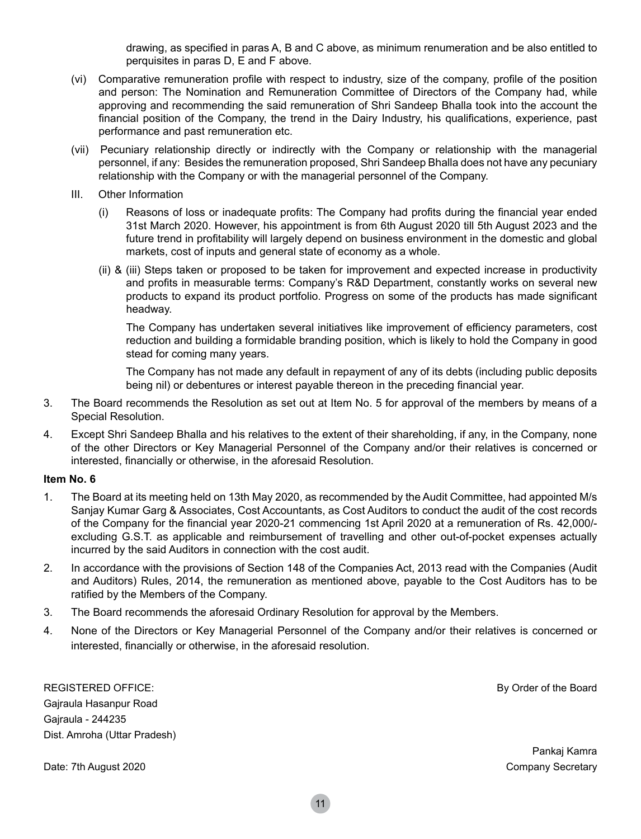drawing, as specified in paras A, B and C above, as minimum renumeration and be also entitled to perquisites in paras D, E and F above.

- (vi) Comparative remuneration profile with respect to industry, size of the company, profile of the position and person: The Nomination and Remuneration Committee of Directors of the Company had, while approving and recommending the said remuneration of Shri Sandeep Bhalla took into the account the financial position of the Company, the trend in the Dairy Industry, his qualifications, experience, past performance and past remuneration etc.
- (vii) Pecuniary relationship directly or indirectly with the Company or relationship with the managerial personnel, if any: Besides the remuneration proposed, Shri Sandeep Bhalla does not have any pecuniary relationship with the Company or with the managerial personnel of the Company.
- III. Other Information
	- (i) Reasons of loss or inadequate profits: The Company had profits during the financial year ended 31st March 2020. However, his appointment is from 6th August 2020 till 5th August 2023 and the future trend in profitability will largely depend on business environment in the domestic and global markets, cost of inputs and general state of economy as a whole.
	- (ii) & (iii) Steps taken or proposed to be taken for improvement and expected increase in productivity and profits in measurable terms: Company's R&D Department, constantly works on several new products to expand its product portfolio. Progress on some of the products has made significant headway.

 The Company has undertaken several initiatives like improvement of efficiency parameters, cost reduction and building a formidable branding position, which is likely to hold the Company in good stead for coming many years.

The Company has not made any default in repayment of any of its debts (including public deposits being nil) or debentures or interest payable thereon in the preceding financial year.

- 3. The Board recommends the Resolution as set out at Item No. 5 for approval of the members by means of a Special Resolution.
- 4. Except Shri Sandeep Bhalla and his relatives to the extent of their shareholding, if any, in the Company, none of the other Directors or Key Managerial Personnel of the Company and/or their relatives is concerned or interested, financially or otherwise, in the aforesaid Resolution.

#### **Item No. 6**

- 1. The Board at its meeting held on 13th May 2020, as recommended by the Audit Committee, had appointed M/s Sanjay Kumar Garg & Associates, Cost Accountants, as Cost Auditors to conduct the audit of the cost records of the Company for the financial year 2020-21 commencing 1st April 2020 at a remuneration of Rs. 42,000/ excluding G.S.T. as applicable and reimbursement of travelling and other out-of-pocket expenses actually incurred by the said Auditors in connection with the cost audit.
- 2. In accordance with the provisions of Section 148 of the Companies Act, 2013 read with the Companies (Audit and Auditors) Rules, 2014, the remuneration as mentioned above, payable to the Cost Auditors has to be ratified by the Members of the Company.
- 3. The Board recommends the aforesaid Ordinary Resolution for approval by the Members.
- 4. None of the Directors or Key Managerial Personnel of the Company and/or their relatives is concerned or interested, financially or otherwise, in the aforesaid resolution.

REGISTERED OFFICE: The Board Control of the Board Control of the Board Control of the Board Control of the Board Gajraula Hasanpur Road Gajraula - 244235 Dist. Amroha (Uttar Pradesh)

Date: 7th August 2020 Company Secretary

Pankaj Kamra